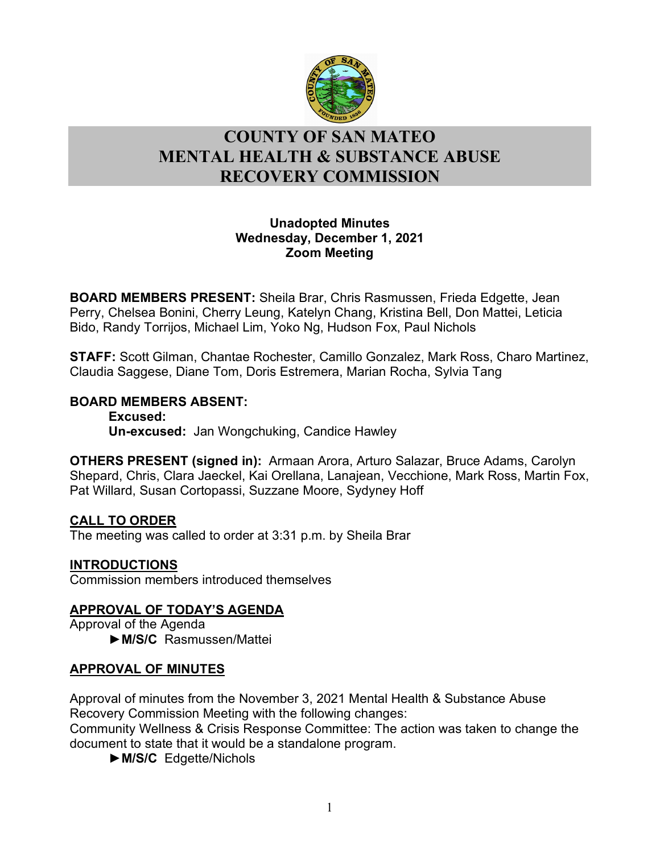

# l **COUNTY OF SAN MATEO MENTAL HEALTH & SUBSTANCE ABUSE RECOVERY COMMISSION**

### **Unadopted Minutes Wednesday, December 1, 2021 Zoom Meeting**

**BOARD MEMBERS PRESENT:** Sheila Brar, Chris Rasmussen, Frieda Edgette, Jean Perry, Chelsea Bonini, Cherry Leung, Katelyn Chang, Kristina Bell, Don Mattei, Leticia Bido, Randy Torrijos, Michael Lim, Yoko Ng, Hudson Fox, Paul Nichols

**STAFF:** Scott Gilman, Chantae Rochester, Camillo Gonzalez, Mark Ross, Charo Martinez, Claudia Saggese, Diane Tom, Doris Estremera, Marian Rocha, Sylvia Tang

## **BOARD MEMBERS ABSENT:**

**Excused: Un-excused:** Jan Wongchuking, Candice Hawley

**OTHERS PRESENT (signed in):** Armaan Arora, Arturo Salazar, Bruce Adams, Carolyn Shepard, Chris, Clara Jaeckel, Kai Orellana, Lanajean, Vecchione, Mark Ross, Martin Fox, Pat Willard, Susan Cortopassi, Suzzane Moore, Sydyney Hoff

## **CALL TO ORDER**

The meeting was called to order at 3:31 p.m. by Sheila Brar

## **INTRODUCTIONS**

Commission members introduced themselves

## **APPROVAL OF TODAY'S AGENDA**

Approval of the Agenda ►**M/S/C** Rasmussen/Mattei

## **APPROVAL OF MINUTES**

Approval of minutes from the November 3, 2021 Mental Health & Substance Abuse Recovery Commission Meeting with the following changes:

Community Wellness & Crisis Response Committee: The action was taken to change the document to state that it would be a standalone program.

►**M/S/C** Edgette/Nichols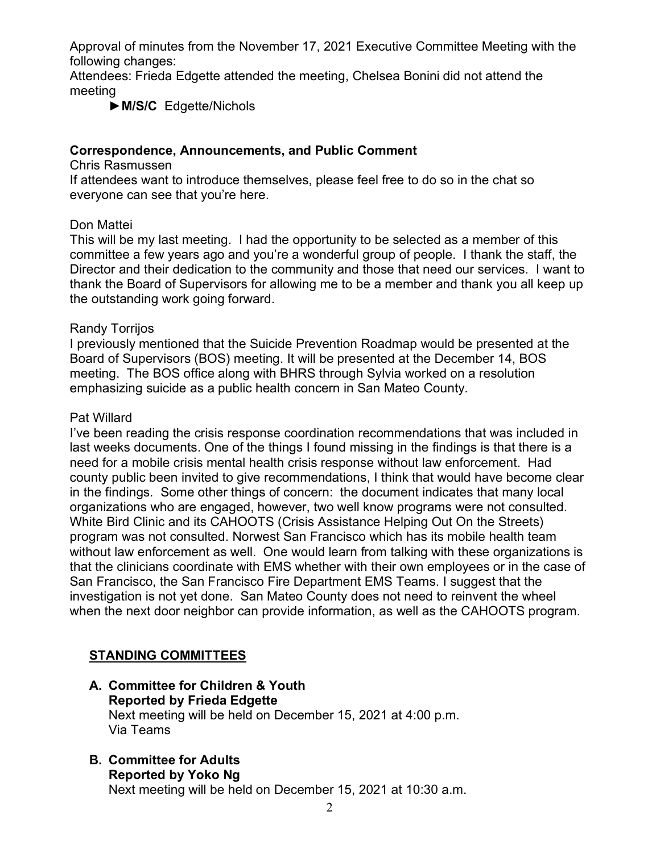Approval of minutes from the November 17, 2021 Executive Committee Meeting with the following changes:

Attendees: Frieda Edgette attended the meeting, Chelsea Bonini did not attend the meeting

►**M/S/C** Edgette/Nichols

### **Correspondence, Announcements, and Public Comment**

Chris Rasmussen

If attendees want to introduce themselves, please feel free to do so in the chat so everyone can see that you're here.

#### Don Mattei

This will be my last meeting. I had the opportunity to be selected as a member of this committee a few years ago and you're a wonderful group of people. I thank the staff, the Director and their dedication to the community and those that need our services. I want to thank the Board of Supervisors for allowing me to be a member and thank you all keep up the outstanding work going forward.

### Randy Torrijos

I previously mentioned that the Suicide Prevention Roadmap would be presented at the Board of Supervisors (BOS) meeting. It will be presented at the December 14, BOS meeting. The BOS office along with BHRS through Sylvia worked on a resolution emphasizing suicide as a public health concern in San Mateo County.

### Pat Willard

I've been reading the crisis response coordination recommendations that was included in last weeks documents. One of the things I found missing in the findings is that there is a need for a mobile crisis mental health crisis response without law enforcement. Had county public been invited to give recommendations, I think that would have become clear in the findings. Some other things of concern: the document indicates that many local organizations who are engaged, however, two well know programs were not consulted. White Bird Clinic and its CAHOOTS (Crisis Assistance Helping Out On the Streets) program was not consulted. Norwest San Francisco which has its mobile health team without law enforcement as well. One would learn from talking with these organizations is that the clinicians coordinate with EMS whether with their own employees or in the case of San Francisco, the San Francisco Fire Department EMS Teams. I suggest that the investigation is not yet done. San Mateo County does not need to reinvent the wheel when the next door neighbor can provide information, as well as the CAHOOTS program.

## **STANDING COMMITTEES**

### **A. Committee for Children & Youth Reported by Frieda Edgette** Next meeting will be held on December 15, 2021 at 4:00 p.m. Via Teams

**B. Committee for Adults Reported by Yoko Ng** Next meeting will be held on December 15, 2021 at 10:30 a.m.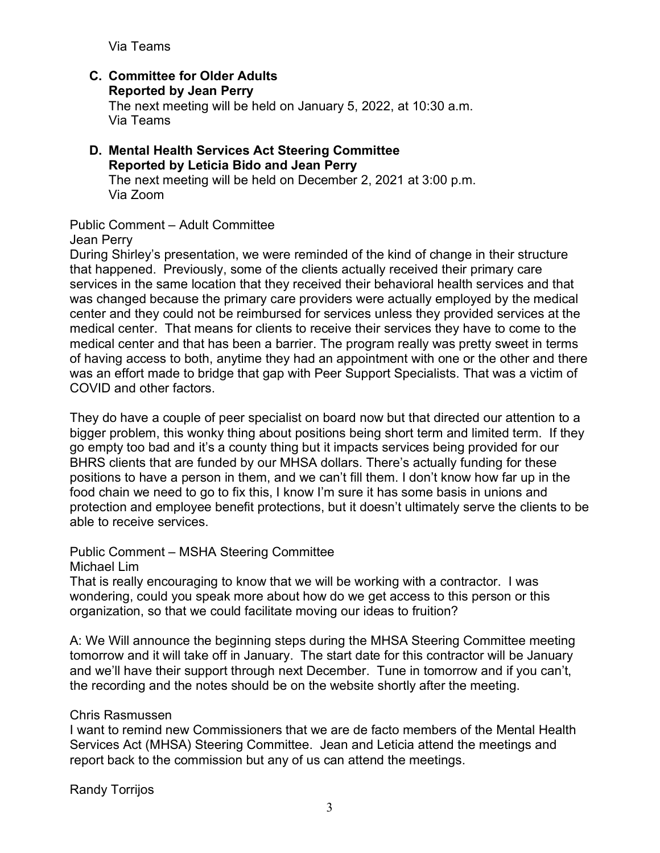Via Teams

#### **C. Committee for Older Adults Reported by Jean Perry**

The next meeting will be held on January 5, 2022, at 10:30 a.m. Via Teams

#### **D. Mental Health Services Act Steering Committee Reported by Leticia Bido and Jean Perry** The next meeting will be held on December 2, 2021 at 3:00 p.m. Via Zoom

## Public Comment – Adult Committee

Jean Perry

During Shirley's presentation, we were reminded of the kind of change in their structure that happened. Previously, some of the clients actually received their primary care services in the same location that they received their behavioral health services and that was changed because the primary care providers were actually employed by the medical center and they could not be reimbursed for services unless they provided services at the medical center. That means for clients to receive their services they have to come to the medical center and that has been a barrier. The program really was pretty sweet in terms of having access to both, anytime they had an appointment with one or the other and there was an effort made to bridge that gap with Peer Support Specialists. That was a victim of COVID and other factors.

They do have a couple of peer specialist on board now but that directed our attention to a bigger problem, this wonky thing about positions being short term and limited term. If they go empty too bad and it's a county thing but it impacts services being provided for our BHRS clients that are funded by our MHSA dollars. There's actually funding for these positions to have a person in them, and we can't fill them. I don't know how far up in the food chain we need to go to fix this, I know I'm sure it has some basis in unions and protection and employee benefit protections, but it doesn't ultimately serve the clients to be able to receive services.

#### Public Comment – MSHA Steering Committee

Michael Lim

That is really encouraging to know that we will be working with a contractor. I was wondering, could you speak more about how do we get access to this person or this organization, so that we could facilitate moving our ideas to fruition?

A: We Will announce the beginning steps during the MHSA Steering Committee meeting tomorrow and it will take off in January. The start date for this contractor will be January and we'll have their support through next December. Tune in tomorrow and if you can't, the recording and the notes should be on the website shortly after the meeting.

#### Chris Rasmussen

I want to remind new Commissioners that we are de facto members of the Mental Health Services Act (MHSA) Steering Committee. Jean and Leticia attend the meetings and report back to the commission but any of us can attend the meetings.

Randy Torrijos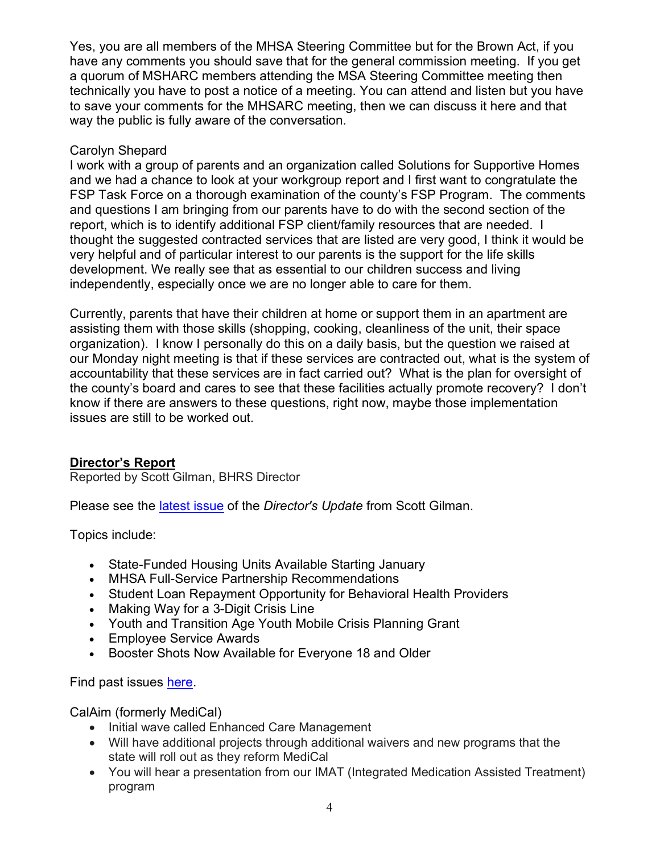Yes, you are all members of the MHSA Steering Committee but for the Brown Act, if you have any comments you should save that for the general commission meeting. If you get a quorum of MSHARC members attending the MSA Steering Committee meeting then technically you have to post a notice of a meeting. You can attend and listen but you have to save your comments for the MHSARC meeting, then we can discuss it here and that way the public is fully aware of the conversation.

## Carolyn Shepard

I work with a group of parents and an organization called Solutions for Supportive Homes and we had a chance to look at your workgroup report and I first want to congratulate the FSP Task Force on a thorough examination of the county's FSP Program. The comments and questions I am bringing from our parents have to do with the second section of the report, which is to identify additional FSP client/family resources that are needed. I thought the suggested contracted services that are listed are very good, I think it would be very helpful and of particular interest to our parents is the support for the life skills development. We really see that as essential to our children success and living independently, especially once we are no longer able to care for them.

Currently, parents that have their children at home or support them in an apartment are assisting them with those skills (shopping, cooking, cleanliness of the unit, their space organization). I know I personally do this on a daily basis, but the question we raised at our Monday night meeting is that if these services are contracted out, what is the system of accountability that these services are in fact carried out? What is the plan for oversight of the county's board and cares to see that these facilities actually promote recovery? I don't know if there are answers to these questions, right now, maybe those implementation issues are still to be worked out.

#### **Director's Report**

Reported by Scott Gilman, BHRS Director

Please see the [latest issue](https://www.smchealth.org/sites/main/files/file-attachments/directors_update_december_2021.pdf?1637693790) of the *Director's Update* from Scott Gilman.

Topics include:

- State-Funded Housing Units Available Starting January
- MHSA Full-Service Partnership Recommendations
- Student Loan Repayment Opportunity for Behavioral Health Providers
- Making Way for a 3-Digit Crisis Line
- Youth and Transition Age Youth Mobile Crisis Planning Grant
- Employee Service Awards
- Booster Shots Now Available for Everyone 18 and Older

Find past issues [here.](https://www.smchealth.org/bhrs/directors-update)

CalAim (formerly MediCal)

- Initial wave called Enhanced Care Management
- Will have additional projects through additional waivers and new programs that the state will roll out as they reform MediCal
- You will hear a presentation from our IMAT (Integrated Medication Assisted Treatment) program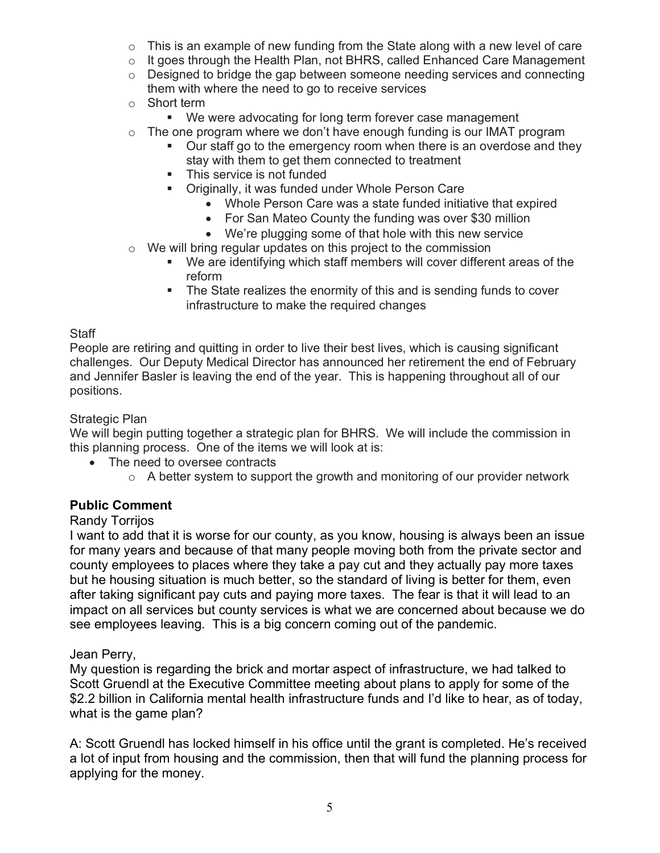- $\circ$  This is an example of new funding from the State along with a new level of care
- $\circ$  It goes through the Health Plan, not BHRS, called Enhanced Care Management
- $\circ$  Designed to bridge the gap between someone needing services and connecting them with where the need to go to receive services
- o Short term
	- We were advocating for long term forever case management
- $\circ$  The one program where we don't have enough funding is our IMAT program
	- Our staff go to the emergency room when there is an overdose and they stay with them to get them connected to treatment
	- **This service is not funded**
	- Originally, it was funded under Whole Person Care
		- Whole Person Care was a state funded initiative that expired
		- For San Mateo County the funding was over \$30 million
		- We're plugging some of that hole with this new service
- o We will bring regular updates on this project to the commission
	- We are identifying which staff members will cover different areas of the reform
	- The State realizes the enormity of this and is sending funds to cover infrastructure to make the required changes

### **Staff**

People are retiring and quitting in order to live their best lives, which is causing significant challenges. Our Deputy Medical Director has announced her retirement the end of February and Jennifer Basler is leaving the end of the year. This is happening throughout all of our positions.

### Strategic Plan

We will begin putting together a strategic plan for BHRS. We will include the commission in this planning process. One of the items we will look at is:

- The need to oversee contracts
	- $\circ$  A better system to support the growth and monitoring of our provider network

## **Public Comment**

## Randy Torrijos

I want to add that it is worse for our county, as you know, housing is always been an issue for many years and because of that many people moving both from the private sector and county employees to places where they take a pay cut and they actually pay more taxes but he housing situation is much better, so the standard of living is better for them, even after taking significant pay cuts and paying more taxes. The fear is that it will lead to an impact on all services but county services is what we are concerned about because we do see employees leaving. This is a big concern coming out of the pandemic.

## Jean Perry,

My question is regarding the brick and mortar aspect of infrastructure, we had talked to Scott Gruendl at the Executive Committee meeting about plans to apply for some of the \$2.2 billion in California mental health infrastructure funds and I'd like to hear, as of today, what is the game plan?

A: Scott Gruendl has locked himself in his office until the grant is completed. He's received a lot of input from housing and the commission, then that will fund the planning process for applying for the money.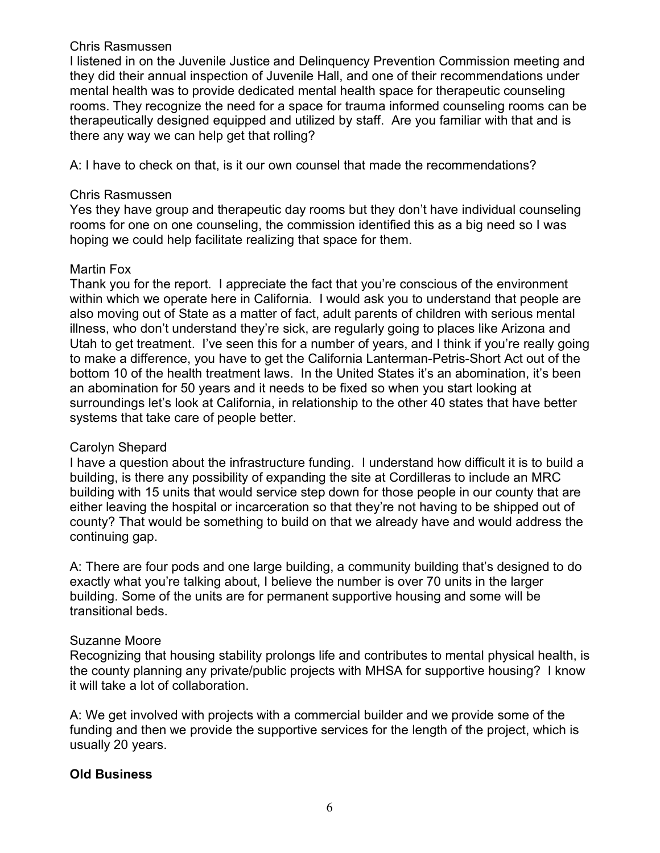#### Chris Rasmussen

I listened in on the Juvenile Justice and Delinquency Prevention Commission meeting and they did their annual inspection of Juvenile Hall, and one of their recommendations under mental health was to provide dedicated mental health space for therapeutic counseling rooms. They recognize the need for a space for trauma informed counseling rooms can be therapeutically designed equipped and utilized by staff. Are you familiar with that and is there any way we can help get that rolling?

A: I have to check on that, is it our own counsel that made the recommendations?

#### Chris Rasmussen

Yes they have group and therapeutic day rooms but they don't have individual counseling rooms for one on one counseling, the commission identified this as a big need so I was hoping we could help facilitate realizing that space for them.

#### Martin Fox

Thank you for the report. I appreciate the fact that you're conscious of the environment within which we operate here in California. I would ask you to understand that people are also moving out of State as a matter of fact, adult parents of children with serious mental illness, who don't understand they're sick, are regularly going to places like Arizona and Utah to get treatment. I've seen this for a number of years, and I think if you're really going to make a difference, you have to get the California Lanterman-Petris-Short Act out of the bottom 10 of the health treatment laws. In the United States it's an abomination, it's been an abomination for 50 years and it needs to be fixed so when you start looking at surroundings let's look at California, in relationship to the other 40 states that have better systems that take care of people better.

#### Carolyn Shepard

I have a question about the infrastructure funding. I understand how difficult it is to build a building, is there any possibility of expanding the site at Cordilleras to include an MRC building with 15 units that would service step down for those people in our county that are either leaving the hospital or incarceration so that they're not having to be shipped out of county? That would be something to build on that we already have and would address the continuing gap.

A: There are four pods and one large building, a community building that's designed to do exactly what you're talking about, I believe the number is over 70 units in the larger building. Some of the units are for permanent supportive housing and some will be transitional beds.

#### Suzanne Moore

Recognizing that housing stability prolongs life and contributes to mental physical health, is the county planning any private/public projects with MHSA for supportive housing? I know it will take a lot of collaboration.

A: We get involved with projects with a commercial builder and we provide some of the funding and then we provide the supportive services for the length of the project, which is usually 20 years.

#### **Old Business**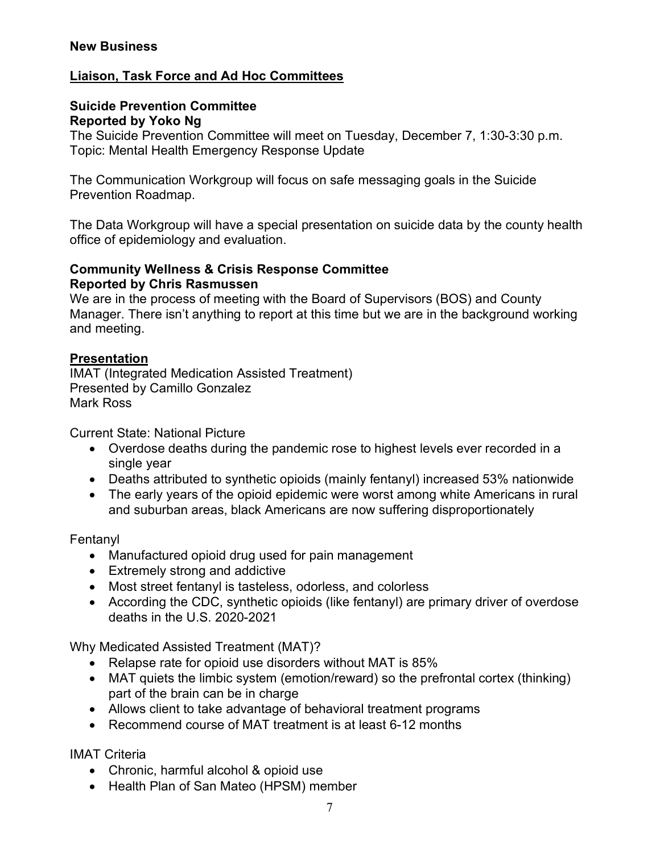## **Liaison, Task Force and Ad Hoc Committees**

#### **Suicide Prevention Committee Reported by Yoko Ng**

The Suicide Prevention Committee will meet on Tuesday, December 7, 1:30-3:30 p.m. Topic: Mental Health Emergency Response Update

The Communication Workgroup will focus on safe messaging goals in the Suicide Prevention Roadmap.

The Data Workgroup will have a special presentation on suicide data by the county health office of epidemiology and evaluation.

#### **Community Wellness & Crisis Response Committee Reported by Chris Rasmussen**

We are in the process of meeting with the Board of Supervisors (BOS) and County Manager. There isn't anything to report at this time but we are in the background working and meeting.

## **Presentation**

IMAT (Integrated Medication Assisted Treatment) Presented by Camillo Gonzalez Mark Ross

Current State: National Picture

- Overdose deaths during the pandemic rose to highest levels ever recorded in a single year
- Deaths attributed to synthetic opioids (mainly fentanyl) increased 53% nationwide
- The early years of the opioid epidemic were worst among white Americans in rural and suburban areas, black Americans are now suffering disproportionately

Fentanyl

- Manufactured opioid drug used for pain management
- Extremely strong and addictive
- Most street fentanyl is tasteless, odorless, and colorless
- According the CDC, synthetic opioids (like fentanyl) are primary driver of overdose deaths in the U.S. 2020-2021

Why Medicated Assisted Treatment (MAT)?

- Relapse rate for opioid use disorders without MAT is 85%
- MAT quiets the limbic system (emotion/reward) so the prefrontal cortex (thinking) part of the brain can be in charge
- Allows client to take advantage of behavioral treatment programs
- Recommend course of MAT treatment is at least 6-12 months

IMAT Criteria

- Chronic, harmful alcohol & opioid use
- Health Plan of San Mateo (HPSM) member